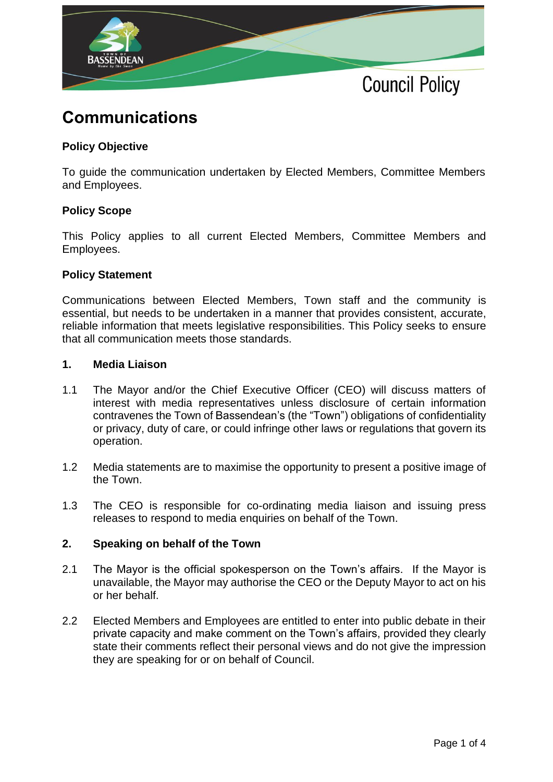

# **Communications**

# **Policy Objective**

To guide the communication undertaken by Elected Members, Committee Members and Employees.

# **Policy Scope**

This Policy applies to all current Elected Members, Committee Members and Employees.

#### **Policy Statement**

Communications between Elected Members, Town staff and the community is essential, but needs to be undertaken in a manner that provides consistent, accurate, reliable information that meets legislative responsibilities. This Policy seeks to ensure that all communication meets those standards.

#### **1. Media Liaison**

- 1.1 The Mayor and/or the Chief Executive Officer (CEO) will discuss matters of interest with media representatives unless disclosure of certain information contravenes the Town of Bassendean's (the "Town") obligations of confidentiality or privacy, duty of care, or could infringe other laws or regulations that govern its operation.
- 1.2 Media statements are to maximise the opportunity to present a positive image of the Town.
- 1.3 The CEO is responsible for co-ordinating media liaison and issuing press releases to respond to media enquiries on behalf of the Town.

# **2. Speaking on behalf of the Town**

- 2.1 The Mayor is the official spokesperson on the Town's affairs. If the Mayor is unavailable, the Mayor may authorise the CEO or the Deputy Mayor to act on his or her behalf.
- 2.2 Elected Members and Employees are entitled to enter into public debate in their private capacity and make comment on the Town's affairs, provided they clearly state their comments reflect their personal views and do not give the impression they are speaking for or on behalf of Council.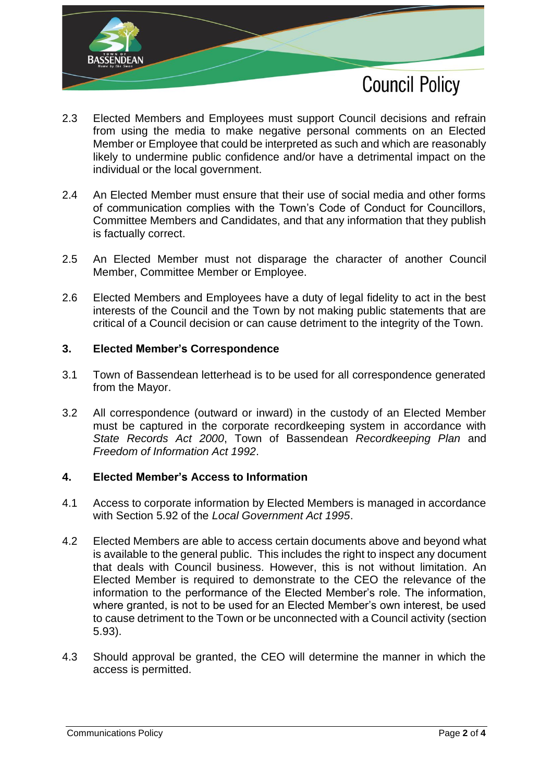

- 2.3 Elected Members and Employees must support Council decisions and refrain from using the media to make negative personal comments on an Elected Member or Employee that could be interpreted as such and which are reasonably likely to undermine public confidence and/or have a detrimental impact on the individual or the local government.
- 2.4 An Elected Member must ensure that their use of social media and other forms of communication complies with the Town's Code of Conduct for Councillors, Committee Members and Candidates, and that any information that they publish is factually correct.
- 2.5 An Elected Member must not disparage the character of another Council Member, Committee Member or Employee.
- 2.6 Elected Members and Employees have a duty of legal fidelity to act in the best interests of the Council and the Town by not making public statements that are critical of a Council decision or can cause detriment to the integrity of the Town.

# **3. Elected Member's Correspondence**

- 3.1 Town of Bassendean letterhead is to be used for all correspondence generated from the Mayor.
- 3.2 All correspondence (outward or inward) in the custody of an Elected Member must be captured in the corporate recordkeeping system in accordance with *State Records Act 2000*, Town of Bassendean *Recordkeeping Plan* and *Freedom of Information Act 1992*.

# **4. Elected Member's Access to Information**

- 4.1 Access to corporate information by Elected Members is managed in accordance with Section 5.92 of the *Local Government Act 1995*.
- 4.2 Elected Members are able to access certain documents above and beyond what is available to the general public. This includes the right to inspect any document that deals with Council business. However, this is not without limitation. An Elected Member is required to demonstrate to the CEO the relevance of the information to the performance of the Elected Member's role. The information, where granted, is not to be used for an Elected Member's own interest, be used to cause detriment to the Town or be unconnected with a Council activity (section 5.93).
- 4.3 Should approval be granted, the CEO will determine the manner in which the access is permitted.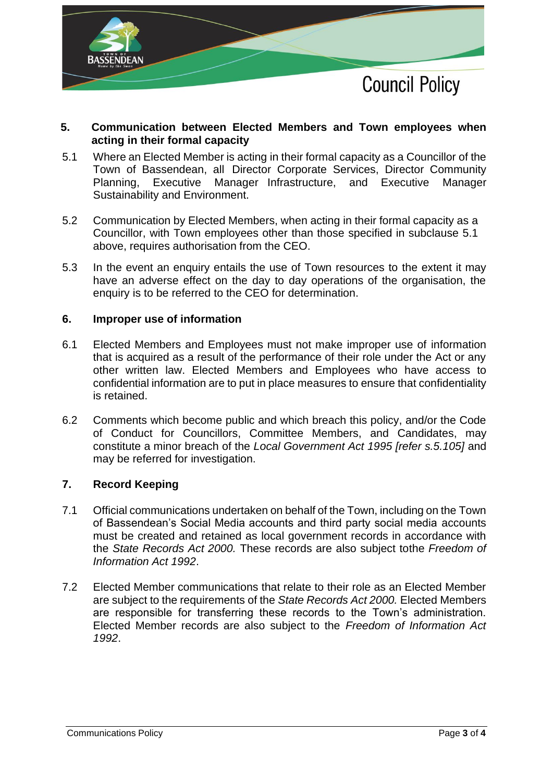

# **5. Communication between Elected Members and Town employees when acting in their formal capacity**

- 5.1 Where an Elected Member is acting in their formal capacity as a Councillor of the Town of Bassendean, all Director Corporate Services, Director Community Planning, Executive Manager Infrastructure, and Executive Manager Sustainability and Environment.
- 5.2 Communication by Elected Members, when acting in their formal capacity as a Councillor, with Town employees other than those specified in subclause 5.1 above, requires authorisation from the CEO.
- 5.3 In the event an enquiry entails the use of Town resources to the extent it may have an adverse effect on the day to day operations of the organisation, the enquiry is to be referred to the CEO for determination.

# **6. Improper use of information**

- 6.1 Elected Members and Employees must not make improper use of information that is acquired as a result of the performance of their role under the Act or any other written law. Elected Members and Employees who have access to confidential information are to put in place measures to ensure that confidentiality is retained.
- 6.2 Comments which become public and which breach this policy, and/or the Code of Conduct for Councillors, Committee Members, and Candidates, may constitute a minor breach of the *Local Government Act 1995 [refer s.5.105]* and may be referred for investigation.

# **7. Record Keeping**

- 7.1 Official communications undertaken on behalf of the Town, including on the Town of Bassendean's Social Media accounts and third party social media accounts must be created and retained as local government records in accordance with the *State Records Act 2000.* These records are also subject tothe *Freedom of Information Act 1992*.
- 7.2 Elected Member communications that relate to their role as an Elected Member are subject to the requirements of the *State Records Act 2000.* Elected Members are responsible for transferring these records to the Town's administration. Elected Member records are also subject to the *Freedom of Information Act 1992*.